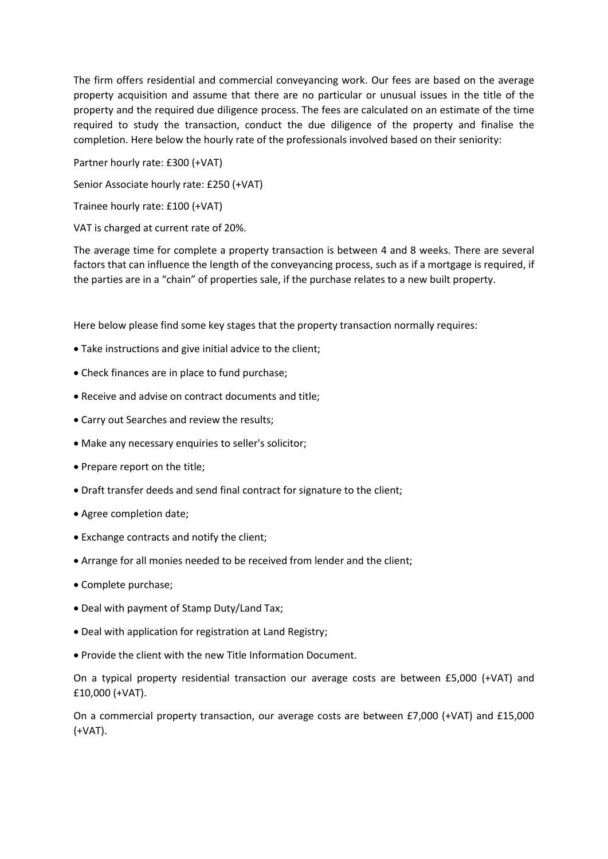The firm offers residential and commercial conveyancing work. Our fees are based on the average property acquisition and assume that there are no particular or unusual issues in the title of the property and the required due diligence process. The fees are calculated on an estimate of the time required to study the transaction, conduct the due diligence of the property and finalise the completion. Here below the hourly rate of the professionals involved based on their seniority:

Partner hourly rate: £300 (+VAT)

Senior Associate hourly rate: £250 (+VAT)

Trainee hourly rate: £100 (+VAT)

VAT is charged at current rate of 20%.

The average time for complete a property transaction is between 4 and 8 weeks. There are several factors that can influence the length of the conveyancing process, such as if a mortgage is required, if the parties are in a "chain" of properties sale, if the purchase relates to a new built property.

Here below please find some key stages that the property transaction normally requires:

- Take instructions and give initial advice to the client;
- Check finances are in place to fund purchase;
- Receive and advise on contract documents and title;
- Carry out Searches and review the results;
- Make any necessary enquiries to seller's solicitor;
- Prepare report on the title;
- Draft transfer deeds and send final contract for signature to the client;
- Agree completion date;
- Exchange contracts and notify the client;
- Arrange for all monies needed to be received from lender and the client;
- Complete purchase;
- Deal with payment of Stamp Duty/Land Tax;
- Deal with application for registration at Land Registry;
- Provide the client with the new Title Information Document.

On a typical property residential transaction our average costs are between £5,000 (+VAT) and £10,000 (+VAT).

On a commercial property transaction, our average costs are between £7,000 (+VAT) and £15,000 (+VAT).